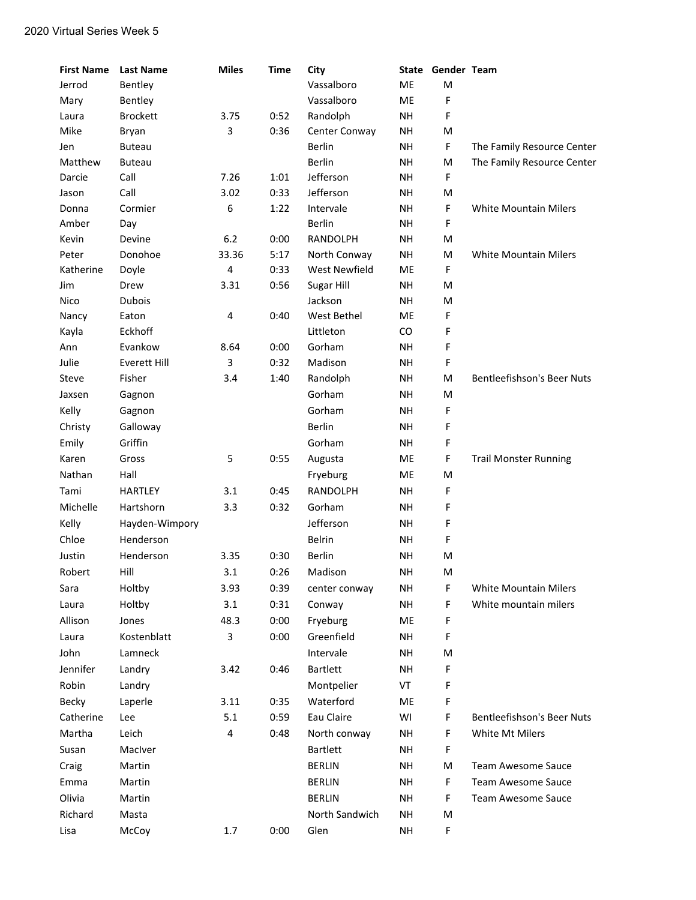| <b>First Name</b> | <b>Last Name</b> | <b>Miles</b> | <b>Time</b> | City                 | State     | Gender Team |                                   |
|-------------------|------------------|--------------|-------------|----------------------|-----------|-------------|-----------------------------------|
| Jerrod            | Bentley          |              |             | Vassalboro           | ME        | M           |                                   |
| Mary              | Bentley          |              |             | Vassalboro           | ME        | F           |                                   |
| Laura             | <b>Brockett</b>  | 3.75         | 0:52        | Randolph             | NH        | F           |                                   |
| Mike              | Bryan            | 3            | 0:36        | Center Conway        | <b>NH</b> | M           |                                   |
| Jen               | <b>Buteau</b>    |              |             | <b>Berlin</b>        | <b>NH</b> | F           | The Family Resource Center        |
| Matthew           | <b>Buteau</b>    |              |             | Berlin               | <b>NH</b> | M           | The Family Resource Center        |
| Darcie            | Call             | 7.26         | 1:01        | Jefferson            | <b>NH</b> | F           |                                   |
| Jason             | Call             | 3.02         | 0:33        | Jefferson            | <b>NH</b> | M           |                                   |
| Donna             | Cormier          | 6            | 1:22        | Intervale            | <b>NH</b> | F           | <b>White Mountain Milers</b>      |
| Amber             | Day              |              |             | <b>Berlin</b>        | <b>NH</b> | F           |                                   |
| Kevin             | Devine           | $6.2$        | 0:00        | RANDOLPH             | <b>NH</b> | M           |                                   |
| Peter             | Donohoe          | 33.36        | 5:17        | North Conway         | <b>NH</b> | M           | <b>White Mountain Milers</b>      |
| Katherine         | Doyle            | 4            | 0:33        | <b>West Newfield</b> | ME        | F           |                                   |
| Jim               | Drew             | 3.31         | 0:56        | Sugar Hill           | <b>NH</b> | M           |                                   |
| Nico              | <b>Dubois</b>    |              |             | Jackson              | <b>NH</b> | M           |                                   |
| Nancy             | Eaton            | 4            | 0:40        | West Bethel          | ME        | F           |                                   |
| Kayla             | Eckhoff          |              |             | Littleton            | CO.       | F           |                                   |
| Ann               | Evankow          | 8.64         | 0:00        | Gorham               | <b>NH</b> | F           |                                   |
| Julie             | Everett Hill     | 3            | 0:32        | Madison              | NH        | F           |                                   |
| Steve             | Fisher           | 3.4          | 1:40        | Randolph             | NH        | M           | Bentleefishson's Beer Nuts        |
| Jaxsen            | Gagnon           |              |             | Gorham               | <b>NH</b> | M           |                                   |
| Kelly             | Gagnon           |              |             | Gorham               | <b>NH</b> | F           |                                   |
| Christy           | Galloway         |              |             | <b>Berlin</b>        | <b>NH</b> | F           |                                   |
| Emily             | Griffin          |              |             | Gorham               | <b>NH</b> | F           |                                   |
| Karen             | Gross            | 5            | 0:55        | Augusta              | ME        | F           | <b>Trail Monster Running</b>      |
| Nathan            | Hall             |              |             | Fryeburg             | ME        | M           |                                   |
| Tami              | <b>HARTLEY</b>   | 3.1          | 0:45        | RANDOLPH             | <b>NH</b> | F           |                                   |
| Michelle          | Hartshorn        | 3.3          | 0:32        | Gorham               | NH        | F           |                                   |
| Kelly             | Hayden-Wimpory   |              |             | Jefferson            | <b>NH</b> | F           |                                   |
| Chloe             | Henderson        |              |             | <b>Belrin</b>        | <b>NH</b> | F           |                                   |
| Justin            | Henderson        | 3.35         | 0:30        | Berlin               | <b>NH</b> | M           |                                   |
| Robert            | Hill             | 3.1          | 0:26        | Madison              | NH        | M           |                                   |
| Sara              | Holtby           | 3.93         | 0:39        |                      | NH        | F           | <b>White Mountain Milers</b>      |
|                   |                  | 3.1          | 0:31        | center conway        | <b>NH</b> | F           | White mountain milers             |
| Laura             | Holtby           |              |             | Conway               |           |             |                                   |
| Allison           | Jones            | 48.3         | 0:00        | Fryeburg             | ME        | F           |                                   |
| Laura             | Kostenblatt      | 3            | 0:00        | Greenfield           | <b>NH</b> | F           |                                   |
| John              | Lamneck          |              |             | Intervale            | <b>NH</b> | M           |                                   |
| Jennifer          | Landry           | 3.42         | 0:46        | <b>Bartlett</b>      | NH        | F           |                                   |
| Robin             | Landry           |              |             | Montpelier           | VT        | F           |                                   |
| Becky             | Laperle          | 3.11         | 0:35        | Waterford            | ME        | F           |                                   |
| Catherine         | Lee              | 5.1          | 0:59        | Eau Claire           | WI        | F           | <b>Bentleefishson's Beer Nuts</b> |
| Martha            | Leich            | 4            | 0:48        | North conway         | NH        | F           | White Mt Milers                   |
| Susan             | MacIver          |              |             | <b>Bartlett</b>      | NH        | F           |                                   |
| Craig             | Martin           |              |             | <b>BERLIN</b>        | <b>NH</b> | M           | Team Awesome Sauce                |
| Emma              | Martin           |              |             | <b>BERLIN</b>        | NH        | $\mathsf F$ | Team Awesome Sauce                |
| Olivia            | Martin           |              |             | <b>BERLIN</b>        | NH        | F           | Team Awesome Sauce                |
| Richard           | Masta            |              |             | North Sandwich       | NH        | M           |                                   |
| Lisa              | McCoy            | 1.7          | 0:00        | Glen                 | <b>NH</b> | $\mathsf F$ |                                   |